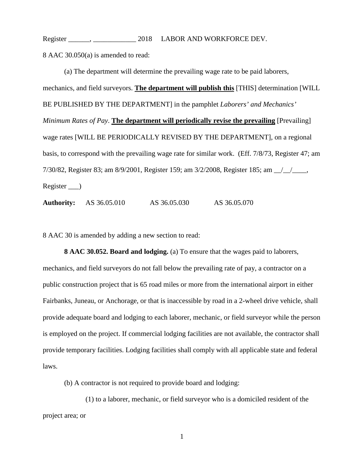Register \_\_\_\_\_\_, \_\_\_\_\_\_\_\_\_\_\_\_\_\_\_\_\_ 2018 LABOR AND WORKFORCE DEV. 8 AAC 30.050(a) is amended to read:

(a) The department will determine the prevailing wage rate to be paid laborers, mechanics, and field surveyors. **The department will publish this** [THIS] determination [WILL BE PUBLISHED BY THE DEPARTMENT] in the pamphlet *Laborers' and Mechanics' Minimum Rates of Pay*. **The department will periodically revise the prevailing** [Prevailing] wage rates [WILL BE PERIODICALLY REVISED BY THE DEPARTMENT], on a regional basis, to correspond with the prevailing wage rate for similar work. (Eff. 7/8/73, Register 47; am 7/30/82, Register 83; am 8/9/2001, Register 159; am 3/2/2008, Register 185; am \_\_/\_\_/\_\_\_\_, Register \_\_\_)

**Authority:** AS 36.05.010 AS 36.05.030 AS 36.05.070

8 AAC 30 is amended by adding a new section to read:

**8 AAC 30.052. Board and lodging.** (a) To ensure that the wages paid to laborers, mechanics, and field surveyors do not fall below the prevailing rate of pay, a contractor on a public construction project that is 65 road miles or more from the international airport in either Fairbanks, Juneau, or Anchorage, or that is inaccessible by road in a 2-wheel drive vehicle, shall provide adequate board and lodging to each laborer, mechanic, or field surveyor while the person is employed on the project. If commercial lodging facilities are not available, the contractor shall provide temporary facilities. Lodging facilities shall comply with all applicable state and federal laws.

(b) A contractor is not required to provide board and lodging:

(1) to a laborer, mechanic, or field surveyor who is a domiciled resident of the project area; or

1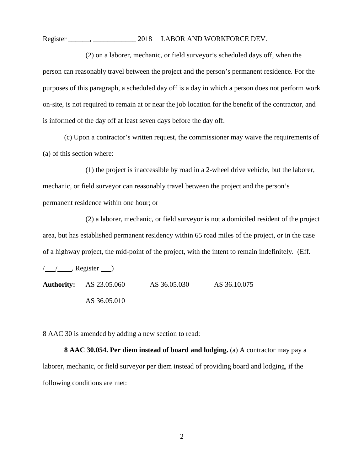Register \_\_\_\_\_\_, \_\_\_\_\_\_\_\_\_\_\_\_\_\_\_\_\_ 2018 LABOR AND WORKFORCE DEV.

(2) on a laborer, mechanic, or field surveyor's scheduled days off, when the person can reasonably travel between the project and the person's permanent residence. For the purposes of this paragraph, a scheduled day off is a day in which a person does not perform work on-site, is not required to remain at or near the job location for the benefit of the contractor, and is informed of the day off at least seven days before the day off.

(c) Upon a contractor's written request, the commissioner may waive the requirements of (a) of this section where:

(1) the project is inaccessible by road in a 2-wheel drive vehicle, but the laborer, mechanic, or field surveyor can reasonably travel between the project and the person's permanent residence within one hour; or

(2) a laborer, mechanic, or field surveyor is not a domiciled resident of the project area, but has established permanent residency within 65 road miles of the project, or in the case of a highway project, the mid-point of the project, with the intent to remain indefinitely. (Eff.

 $\frac{1}{2}$ , Register ) **Authority:** AS 23.05.060 AS 36.05.030 AS 36.10.075 AS 36.05.010

8 AAC 30 is amended by adding a new section to read:

**8 AAC 30.054. Per diem instead of board and lodging.** (a) A contractor may pay a laborer, mechanic, or field surveyor per diem instead of providing board and lodging, if the following conditions are met: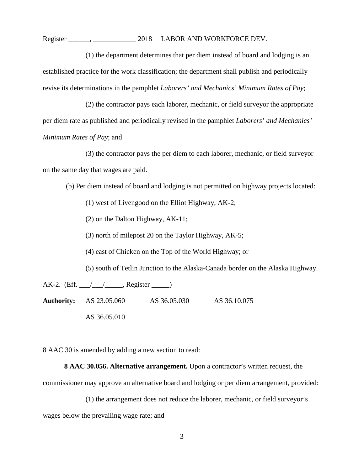Register \_\_\_\_\_\_, \_\_\_\_\_\_\_\_\_\_\_\_\_\_\_\_\_ 2018 LABOR AND WORKFORCE DEV.

(1) the department determines that per diem instead of board and lodging is an established practice for the work classification; the department shall publish and periodically revise its determinations in the pamphlet *Laborers' and Mechanics' Minimum Rates of Pay*;

(2) the contractor pays each laborer, mechanic, or field surveyor the appropriate per diem rate as published and periodically revised in the pamphlet *Laborers' and Mechanics' Minimum Rates of Pay*; and

(3) the contractor pays the per diem to each laborer, mechanic, or field surveyor on the same day that wages are paid.

(b) Per diem instead of board and lodging is not permitted on highway projects located:

(1) west of Livengood on the Elliot Highway, AK-2;

(2) on the Dalton Highway, AK-11;

(3) north of milepost 20 on the Taylor Highway, AK-5;

(4) east of Chicken on the Top of the World Highway; or

(5) south of Tetlin Junction to the Alaska-Canada border on the Alaska Highway.

AK-2. (Eff.  $\angle$  /  $\angle$  Register  $\Box$ ) **Authority:** AS 23.05.060 AS 36.05.030 AS 36.10.075 AS 36.05.010

8 AAC 30 is amended by adding a new section to read:

**8 AAC 30.056. Alternative arrangement.** Upon a contractor's written request, the

commissioner may approve an alternative board and lodging or per diem arrangement, provided:

(1) the arrangement does not reduce the laborer, mechanic, or field surveyor's

wages below the prevailing wage rate; and